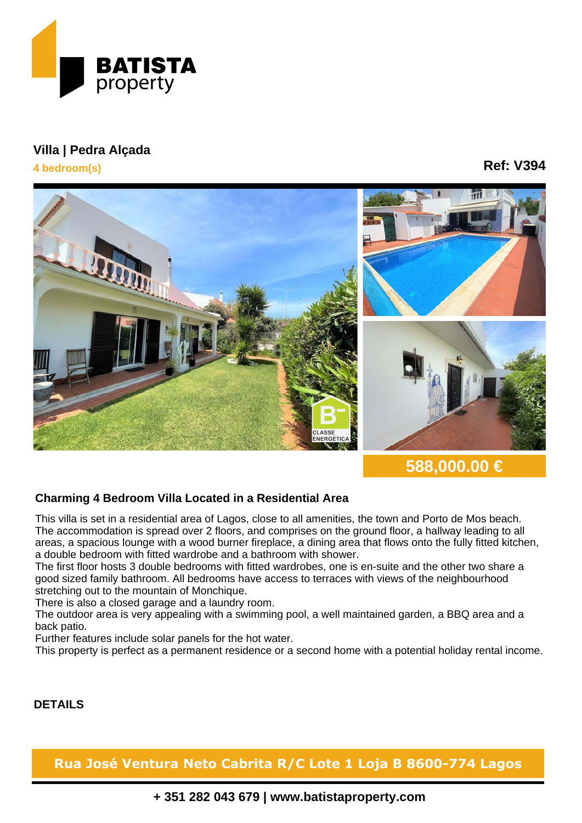

## **Villa | Pedra Alçada 4 bedroom(s)**

## **Ref: V394**



**588,000.00 €**

## **Charming 4 Bedroom Villa Located in a Residential Area**

This villa is set in a residential area of Lagos, close to all amenities, the town and Porto de Mos beach. The accommodation is spread over 2 floors, and comprises on the ground floor, a hallway leading to all areas, a spacious lounge with a wood burner fireplace, a dining area that flows onto the fully fitted kitchen, a double bedroom with fitted wardrobe and a bathroom with shower.

The first floor hosts 3 double bedrooms with fitted wardrobes, one is en-suite and the other two share a good sized family bathroom. All bedrooms have access to terraces with views of the neighbourhood stretching out to the mountain of Monchique.

There is also a closed garage and a laundry room.

The outdoor area is very appealing with a swimming pool, a well maintained garden, a BBQ area and a back patio.

Further features include solar panels for the hot water.

This property is perfect as a permanent residence or a second home with a potential holiday rental income.

## **DETAILS**

**Rua José Ventura Neto Cabrita R/C Lote 1 Loja B 8600-774 Lagos**

**+ 351 282 043 679 | www.batistaproperty.com**